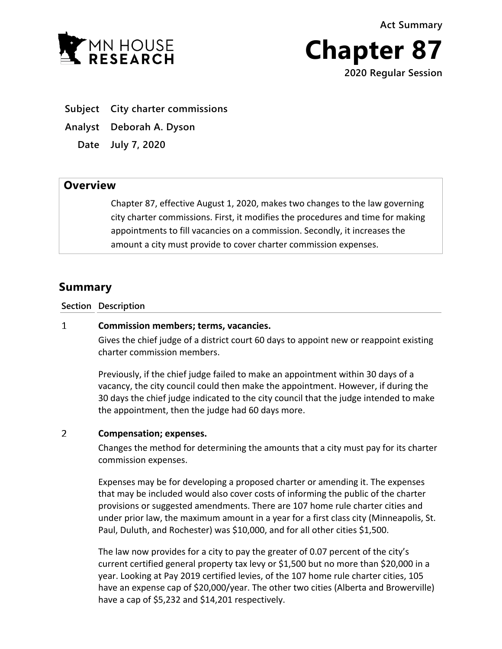**Act Summary**





- **Subject City charter commissions**
- **Analyst Deborah A. Dyson**

**Date July 7, 2020**

## **Overview**

Chapter 87, effective August 1, 2020, makes two changes to the law governing city charter commissions. First, it modifies the procedures and time for making appointments to fill vacancies on a commission. Secondly, it increases the amount a city must provide to cover charter commission expenses.

# **Summary**

### **Section Description**

#### $\mathbf{1}$ **Commission members; terms, vacancies.**

Gives the chief judge of a district court 60 days to appoint new or reappoint existing charter commission members.

Previously, if the chief judge failed to make an appointment within 30 days of a vacancy, the city council could then make the appointment. However, if during the 30 days the chief judge indicated to the city council that the judge intended to make the appointment, then the judge had 60 days more.

#### $\mathcal{P}$ **Compensation; expenses.**

Changes the method for determining the amounts that a city must pay for its charter commission expenses.

Expenses may be for developing a proposed charter or amending it. The expenses that may be included would also cover costs of informing the public of the charter provisions or suggested amendments. There are 107 home rule charter cities and under prior law, the maximum amount in a year for a first class city (Minneapolis, St. Paul, Duluth, and Rochester) was \$10,000, and for all other cities \$1,500.

The law now provides for a city to pay the greater of 0.07 percent of the city's current certified general property tax levy or \$1,500 but no more than \$20,000 in a year. Looking at Pay 2019 certified levies, of the 107 home rule charter cities, 105 have an expense cap of \$20,000/year. The other two cities (Alberta and Browerville) have a cap of \$5,232 and \$14,201 respectively.